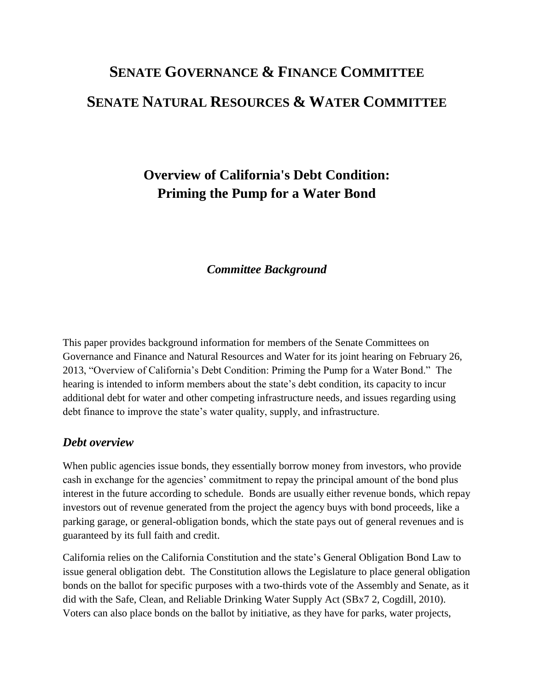# **SENATE GOVERNANCE & FINANCE COMMITTEE SENATE NATURAL RESOURCES & WATER COMMITTEE**

## **Overview of California's Debt Condition: Priming the Pump for a Water Bond**

## *Committee Background*

This paper provides background information for members of the Senate Committees on Governance and Finance and Natural Resources and Water for its joint hearing on February 26, 2013, "Overview of California's Debt Condition: Priming the Pump for a Water Bond." The hearing is intended to inform members about the state's debt condition, its capacity to incur additional debt for water and other competing infrastructure needs, and issues regarding using debt finance to improve the state's water quality, supply, and infrastructure.

#### *Debt overview*

When public agencies issue bonds, they essentially borrow money from investors, who provide cash in exchange for the agencies' commitment to repay the principal amount of the bond plus interest in the future according to schedule. Bonds are usually either revenue bonds, which repay investors out of revenue generated from the project the agency buys with bond proceeds, like a parking garage, or general-obligation bonds, which the state pays out of general revenues and is guaranteed by its full faith and credit.

California relies on the California Constitution and the state's General Obligation Bond Law to issue general obligation debt. The Constitution allows the Legislature to place general obligation bonds on the ballot for specific purposes with a two-thirds vote of the Assembly and Senate, as it did with the Safe, Clean, and Reliable Drinking Water Supply Act (SBx7 2, Cogdill, 2010). Voters can also place bonds on the ballot by initiative, as they have for parks, water projects,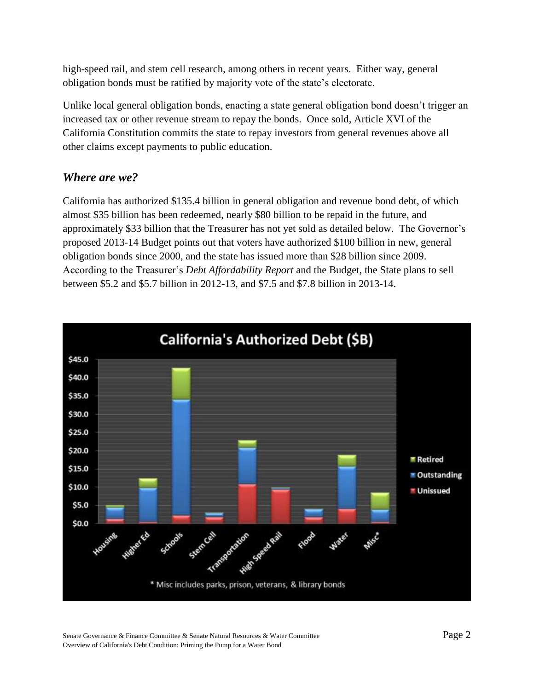high-speed rail, and stem cell research, among others in recent years. Either way, general obligation bonds must be ratified by majority vote of the state's electorate.

Unlike local general obligation bonds, enacting a state general obligation bond doesn't trigger an increased tax or other revenue stream to repay the bonds. Once sold, Article XVI of the California Constitution commits the state to repay investors from general revenues above all other claims except payments to public education.

## *Where are we?*

California has authorized \$135.4 billion in general obligation and revenue bond debt, of which almost \$35 billion has been redeemed, nearly \$80 billion to be repaid in the future, and approximately \$33 billion that the Treasurer has not yet sold as detailed below. The Governor's proposed 2013-14 Budget points out that voters have authorized \$100 billion in new, general obligation bonds since 2000, and the state has issued more than \$28 billion since 2009. According to the Treasurer's *Debt Affordability Report* and the Budget, the State plans to sell between \$5.2 and \$5.7 billion in 2012-13, and \$7.5 and \$7.8 billion in 2013-14.



Senate Governance & Finance Committee & Senate Natural Resources & Water Committee Page 2 Overview of California's Debt Condition: Priming the Pump for a Water Bond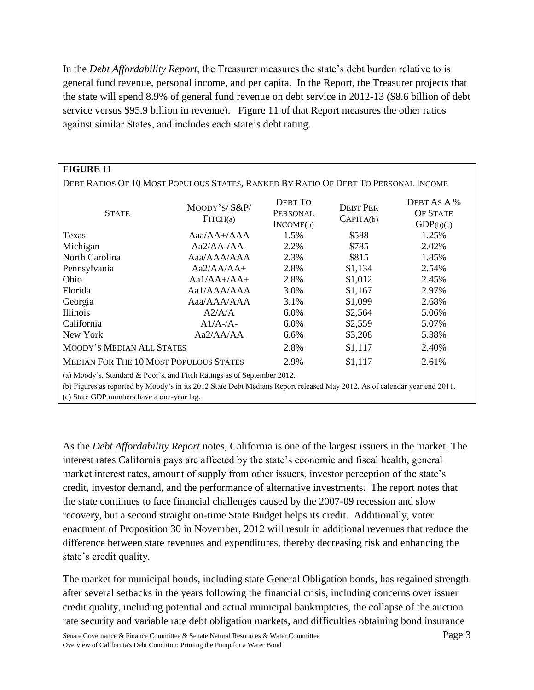In the *Debt Affordability Report*, the Treasurer measures the state's debt burden relative to is general fund revenue, personal income, and per capita. In the Report, the Treasurer projects that the state will spend 8.9% of general fund revenue on debt service in 2012-13 (\$8.6 billion of debt service versus \$95.9 billion in revenue). Figure 11 of that Report measures the other ratios against similar States, and includes each state's debt rating.

| <b>FIGURE 11</b>                                                                                                                                                                                                                                   |                                 |                                  |                              |                                             |
|----------------------------------------------------------------------------------------------------------------------------------------------------------------------------------------------------------------------------------------------------|---------------------------------|----------------------------------|------------------------------|---------------------------------------------|
| DEBT RATIOS OF 10 MOST POPULOUS STATES, RANKED BY RATIO OF DEBT TO PERSONAL INCOME                                                                                                                                                                 |                                 |                                  |                              |                                             |
| <b>STATE</b>                                                                                                                                                                                                                                       | $M$ OODY'S/ $S$ &P/<br>FITCH(a) | DEBT TO<br>PERSONAL<br>INCOME(b) | <b>DEBT PER</b><br>CAPITA(b) | DEBT AS A %<br><b>OF STATE</b><br>GDP(b)(c) |
| Texas                                                                                                                                                                                                                                              | $Aaa/AA+/AAA$                   | 1.5%                             | \$588                        | 1.25%                                       |
| Michigan                                                                                                                                                                                                                                           | Aa2/AA-/AA-                     | 2.2%                             | \$785                        | 2.02%                                       |
| North Carolina                                                                                                                                                                                                                                     | Aaa/AAA/AAA                     | 2.3%                             | \$815                        | 1.85%                                       |
| Pennsylvania                                                                                                                                                                                                                                       | $Aa2/AA/AA+$                    | 2.8%                             | \$1,134                      | 2.54%                                       |
| Ohio                                                                                                                                                                                                                                               | $Aa1/AA+/AA+$                   | 2.8%                             | \$1,012                      | 2.45%                                       |
| Florida                                                                                                                                                                                                                                            | Aa1/AAA/AAA                     | 3.0%                             | \$1,167                      | 2.97%                                       |
| Georgia                                                                                                                                                                                                                                            | Aaa/AAA/AAA                     | 3.1%                             | \$1,099                      | 2.68%                                       |
| Illinois                                                                                                                                                                                                                                           | A2/A/A                          | 6.0%                             | \$2,564                      | 5.06%                                       |
| California                                                                                                                                                                                                                                         | $A1/A$ -/A-                     | 6.0%                             | \$2,559                      | 5.07%                                       |
| New York                                                                                                                                                                                                                                           | Aa2/AA/AA                       | 6.6%                             | \$3,208                      | 5.38%                                       |
| MOODY'S MEDIAN ALL STATES                                                                                                                                                                                                                          |                                 | 2.8%                             | \$1,117                      | 2.40%                                       |
| <b>MEDIAN FOR THE 10 MOST POPULOUS STATES</b>                                                                                                                                                                                                      |                                 | 2.9%                             | \$1,117                      | 2.61%                                       |
| (a) Moody's, Standard & Poor's, and Fitch Ratings as of September 2012.<br>(b) Figures as reported by Moody's in its 2012 State Debt Medians Report released May 2012. As of calendar year end 2011.<br>(c) State GDP numbers have a one-year lag. |                                 |                                  |                              |                                             |

As the *Debt Affordability Report* notes, California is one of the largest issuers in the market. The interest rates California pays are affected by the state's economic and fiscal health, general market interest rates, amount of supply from other issuers, investor perception of the state's credit, investor demand, and the performance of alternative investments. The report notes that the state continues to face financial challenges caused by the 2007-09 recession and slow recovery, but a second straight on-time State Budget helps its credit. Additionally, voter enactment of Proposition 30 in November, 2012 will result in additional revenues that reduce the difference between state revenues and expenditures, thereby decreasing risk and enhancing the state's credit quality.

The market for municipal bonds, including state General Obligation bonds, has regained strength after several setbacks in the years following the financial crisis, including concerns over issuer credit quality, including potential and actual municipal bankruptcies, the collapse of the auction rate security and variable rate debt obligation markets, and difficulties obtaining bond insurance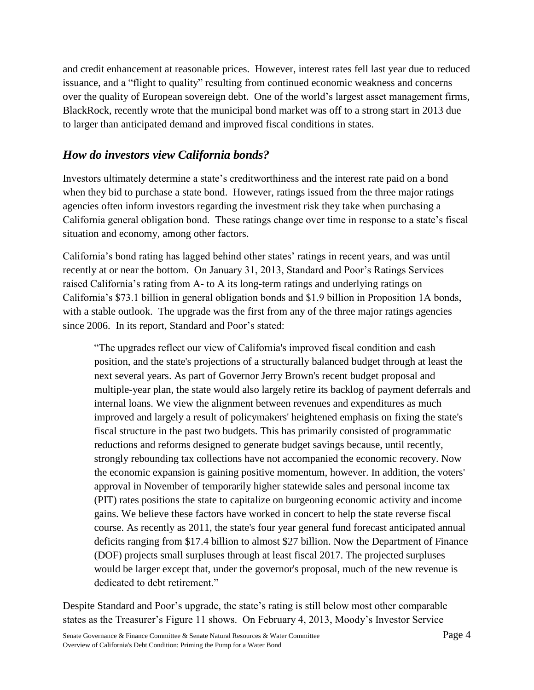and credit enhancement at reasonable prices. However, interest rates fell last year due to reduced issuance, and a "flight to quality" resulting from continued economic weakness and concerns over the quality of European sovereign debt. One of the world's largest asset management firms, BlackRock, recently wrote that the municipal bond market was off to a strong start in 2013 due to larger than anticipated demand and improved fiscal conditions in states.

## *How do investors view California bonds?*

Investors ultimately determine a state's creditworthiness and the interest rate paid on a bond when they bid to purchase a state bond. However, ratings issued from the three major ratings agencies often inform investors regarding the investment risk they take when purchasing a California general obligation bond. These ratings change over time in response to a state's fiscal situation and economy, among other factors.

California's bond rating has lagged behind other states' ratings in recent years, and was until recently at or near the bottom. On January 31, 2013, Standard and Poor's Ratings Services raised California's rating from A- to A its long-term ratings and underlying ratings on California's \$73.1 billion in general obligation bonds and \$1.9 billion in Proposition 1A bonds, with a stable outlook. The upgrade was the first from any of the three major ratings agencies since 2006. In its report, Standard and Poor's stated:

"The upgrades reflect our view of California's improved fiscal condition and cash position, and the state's projections of a structurally balanced budget through at least the next several years. As part of Governor Jerry Brown's recent budget proposal and multiple-year plan, the state would also largely retire its backlog of payment deferrals and internal loans. We view the alignment between revenues and expenditures as much improved and largely a result of policymakers' heightened emphasis on fixing the state's fiscal structure in the past two budgets. This has primarily consisted of programmatic reductions and reforms designed to generate budget savings because, until recently, strongly rebounding tax collections have not accompanied the economic recovery. Now the economic expansion is gaining positive momentum, however. In addition, the voters' approval in November of temporarily higher statewide sales and personal income tax (PIT) rates positions the state to capitalize on burgeoning economic activity and income gains. We believe these factors have worked in concert to help the state reverse fiscal course. As recently as 2011, the state's four year general fund forecast anticipated annual deficits ranging from \$17.4 billion to almost \$27 billion. Now the Department of Finance (DOF) projects small surpluses through at least fiscal 2017. The projected surpluses would be larger except that, under the governor's proposal, much of the new revenue is dedicated to debt retirement."

Despite Standard and Poor's upgrade, the state's rating is still below most other comparable states as the Treasurer's Figure 11 shows. On February 4, 2013, Moody's Investor Service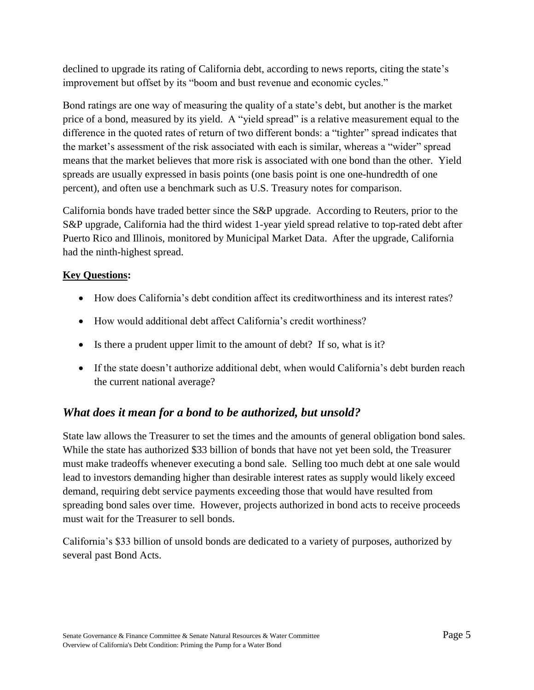declined to upgrade its rating of California debt, according to news reports, citing the state's improvement but offset by its "boom and bust revenue and economic cycles."

Bond ratings are one way of measuring the quality of a state's debt, but another is the market price of a bond, measured by its yield. A "yield spread" is a relative measurement equal to the difference in the quoted rates of return of two different bonds: a "tighter" spread indicates that the market's assessment of the risk associated with each is similar, whereas a "wider" spread means that the market believes that more risk is associated with one bond than the other. Yield spreads are usually expressed in basis points (one basis point is one one-hundredth of one percent), and often use a benchmark such as U.S. Treasury notes for comparison.

California bonds have traded better since the S&P upgrade. According to Reuters, prior to the S&P upgrade, California had the third widest 1-year yield spread relative to top-rated debt after Puerto Rico and Illinois, monitored by Municipal Market Data. After the upgrade, California had the ninth-highest spread.

#### **Key Questions:**

- How does California's debt condition affect its creditworthiness and its interest rates?
- How would additional debt affect California's credit worthiness?
- Is there a prudent upper limit to the amount of debt? If so, what is it?
- If the state doesn't authorize additional debt, when would California's debt burden reach the current national average?

## *What does it mean for a bond to be authorized, but unsold?*

State law allows the Treasurer to set the times and the amounts of general obligation bond sales. While the state has authorized \$33 billion of bonds that have not yet been sold, the Treasurer must make tradeoffs whenever executing a bond sale. Selling too much debt at one sale would lead to investors demanding higher than desirable interest rates as supply would likely exceed demand, requiring debt service payments exceeding those that would have resulted from spreading bond sales over time. However, projects authorized in bond acts to receive proceeds must wait for the Treasurer to sell bonds.

California's \$33 billion of unsold bonds are dedicated to a variety of purposes, authorized by several past Bond Acts.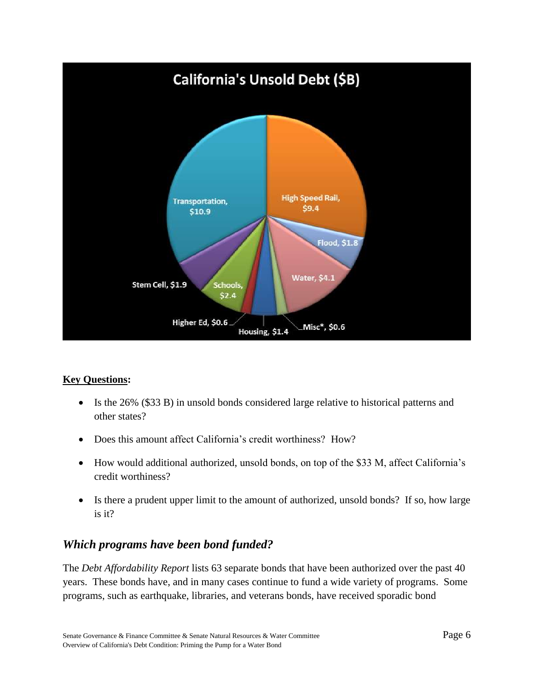

#### **Key Questions:**

- Is the 26% (\$33 B) in unsold bonds considered large relative to historical patterns and other states?
- Does this amount affect California's credit worthiness? How?
- How would additional authorized, unsold bonds, on top of the \$33 M, affect California's credit worthiness?
- Is there a prudent upper limit to the amount of authorized, unsold bonds? If so, how large is it?

## *Which programs have been bond funded?*

The *Debt Affordability Report* lists 63 separate bonds that have been authorized over the past 40 years. These bonds have, and in many cases continue to fund a wide variety of programs. Some programs, such as earthquake, libraries, and veterans bonds, have received sporadic bond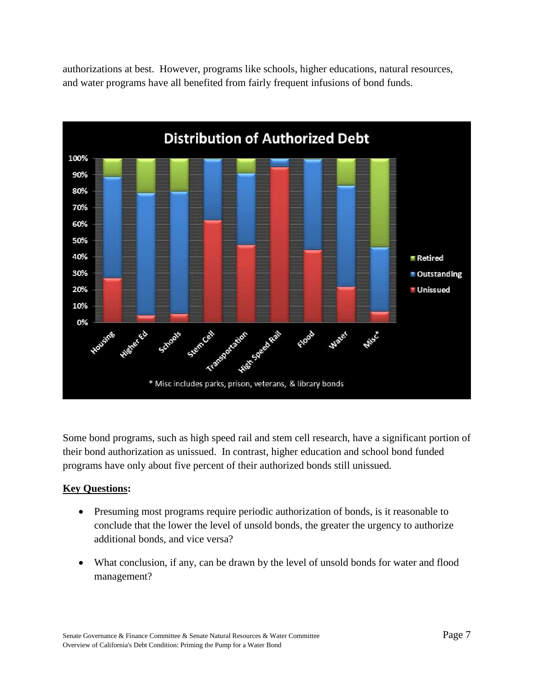authorizations at best. However, programs like schools, higher educations, natural resources, and water programs have all benefited from fairly frequent infusions of bond funds.



Some bond programs, such as high speed rail and stem cell research, have a significant portion of their bond authorization as unissued. In contrast, higher education and school bond funded programs have only about five percent of their authorized bonds still unissued.

#### **Key Questions:**

- Presuming most programs require periodic authorization of bonds, is it reasonable to conclude that the lower the level of unsold bonds, the greater the urgency to authorize additional bonds, and vice versa?
- What conclusion, if any, can be drawn by the level of unsold bonds for water and flood management?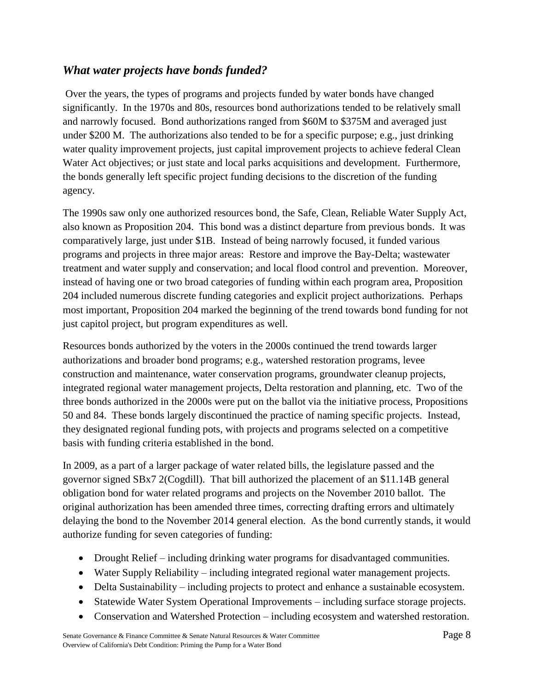## *What water projects have bonds funded?*

Over the years, the types of programs and projects funded by water bonds have changed significantly. In the 1970s and 80s, resources bond authorizations tended to be relatively small and narrowly focused. Bond authorizations ranged from \$60M to \$375M and averaged just under \$200 M. The authorizations also tended to be for a specific purpose; e.g., just drinking water quality improvement projects, just capital improvement projects to achieve federal Clean Water Act objectives; or just state and local parks acquisitions and development. Furthermore, the bonds generally left specific project funding decisions to the discretion of the funding agency.

The 1990s saw only one authorized resources bond, the Safe, Clean, Reliable Water Supply Act, also known as Proposition 204. This bond was a distinct departure from previous bonds. It was comparatively large, just under \$1B. Instead of being narrowly focused, it funded various programs and projects in three major areas: Restore and improve the Bay-Delta; wastewater treatment and water supply and conservation; and local flood control and prevention. Moreover, instead of having one or two broad categories of funding within each program area, Proposition 204 included numerous discrete funding categories and explicit project authorizations. Perhaps most important, Proposition 204 marked the beginning of the trend towards bond funding for not just capitol project, but program expenditures as well.

Resources bonds authorized by the voters in the 2000s continued the trend towards larger authorizations and broader bond programs; e.g., watershed restoration programs, levee construction and maintenance, water conservation programs, groundwater cleanup projects, integrated regional water management projects, Delta restoration and planning, etc. Two of the three bonds authorized in the 2000s were put on the ballot via the initiative process, Propositions 50 and 84. These bonds largely discontinued the practice of naming specific projects. Instead, they designated regional funding pots, with projects and programs selected on a competitive basis with funding criteria established in the bond.

In 2009, as a part of a larger package of water related bills, the legislature passed and the governor signed SBx7 2(Cogdill). That bill authorized the placement of an \$11.14B general obligation bond for water related programs and projects on the November 2010 ballot. The original authorization has been amended three times, correcting drafting errors and ultimately delaying the bond to the November 2014 general election. As the bond currently stands, it would authorize funding for seven categories of funding:

- Drought Relief including drinking water programs for disadvantaged communities.
- Water Supply Reliability including integrated regional water management projects.
- Delta Sustainability including projects to protect and enhance a sustainable ecosystem.
- Statewide Water System Operational Improvements including surface storage projects.
- Conservation and Watershed Protection including ecosystem and watershed restoration.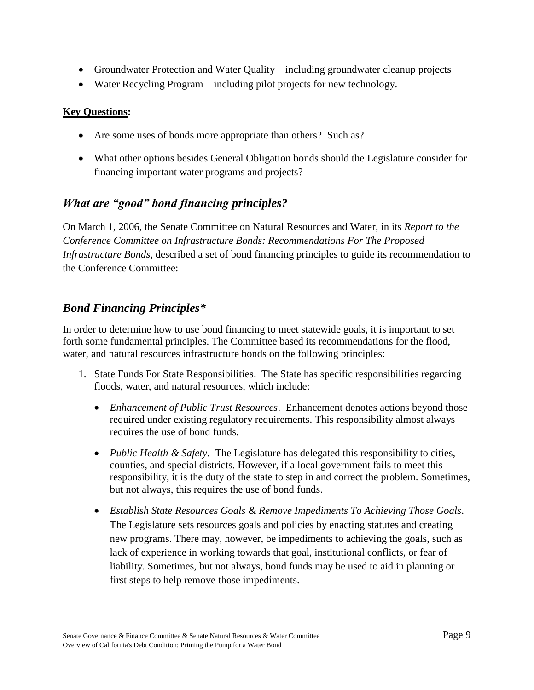- Groundwater Protection and Water Quality including groundwater cleanup projects
- Water Recycling Program including pilot projects for new technology.

#### **Key Questions:**

- Are some uses of bonds more appropriate than others? Such as?
- What other options besides General Obligation bonds should the Legislature consider for financing important water programs and projects?

## *What are "good" bond financing principles?*

On March 1, 2006, the Senate Committee on Natural Resources and Water, in its *Report to the Conference Committee on Infrastructure Bonds: Recommendations For The Proposed Infrastructure Bonds*, described a set of bond financing principles to guide its recommendation to the Conference Committee:

## *Bond Financing Principles\**

In order to determine how to use bond financing to meet statewide goals, it is important to set forth some fundamental principles. The Committee based its recommendations for the flood, water, and natural resources infrastructure bonds on the following principles:

- 1. State Funds For State Responsibilities. The State has specific responsibilities regarding floods, water, and natural resources, which include:
	- *Enhancement of Public Trust Resources*. Enhancement denotes actions beyond those required under existing regulatory requirements. This responsibility almost always requires the use of bond funds.
	- *Public Health & Safety*. The Legislature has delegated this responsibility to cities, counties, and special districts. However, if a local government fails to meet this responsibility, it is the duty of the state to step in and correct the problem. Sometimes, but not always, this requires the use of bond funds.
	- *Establish State Resources Goals & Remove Impediments To Achieving Those Goals*. The Legislature sets resources goals and policies by enacting statutes and creating new programs. There may, however, be impediments to achieving the goals, such as lack of experience in working towards that goal, institutional conflicts, or fear of liability. Sometimes, but not always, bond funds may be used to aid in planning or first steps to help remove those impediments.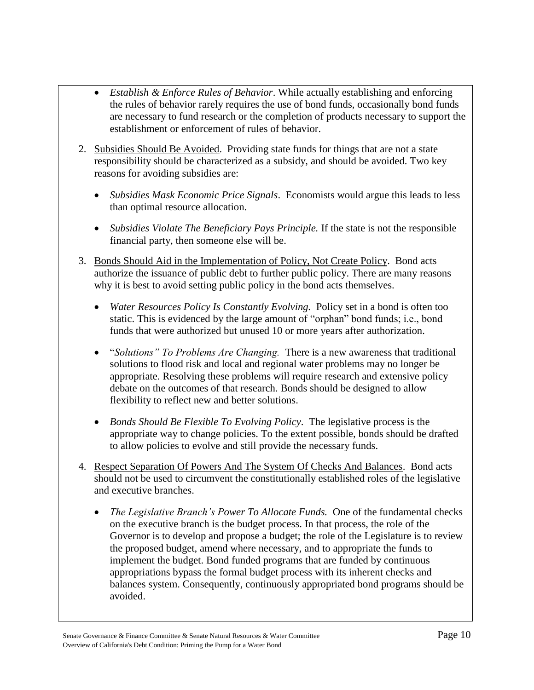- *Establish & Enforce Rules of Behavior*. While actually establishing and enforcing the rules of behavior rarely requires the use of bond funds, occasionally bond funds are necessary to fund research or the completion of products necessary to support the establishment or enforcement of rules of behavior.
- 2. Subsidies Should Be Avoided. Providing state funds for things that are not a state responsibility should be characterized as a subsidy, and should be avoided. Two key reasons for avoiding subsidies are:
	- *Subsidies Mask Economic Price Signals*. Economists would argue this leads to less than optimal resource allocation.
	- Subsidies Violate The Beneficiary Pays Principle. If the state is not the responsible financial party, then someone else will be.
- 3. Bonds Should Aid in the Implementation of Policy, Not Create Policy. Bond acts authorize the issuance of public debt to further public policy. There are many reasons why it is best to avoid setting public policy in the bond acts themselves.
	- *Water Resources Policy Is Constantly Evolving.* Policy set in a bond is often too static. This is evidenced by the large amount of "orphan" bond funds; i.e., bond funds that were authorized but unused 10 or more years after authorization.
	- "*Solutions" To Problems Are Changing.* There is a new awareness that traditional solutions to flood risk and local and regional water problems may no longer be appropriate. Resolving these problems will require research and extensive policy debate on the outcomes of that research. Bonds should be designed to allow flexibility to reflect new and better solutions.
	- *Bonds Should Be Flexible To Evolving Policy*.The legislative process is the appropriate way to change policies. To the extent possible, bonds should be drafted to allow policies to evolve and still provide the necessary funds.
- 4. Respect Separation Of Powers And The System Of Checks And Balances.Bond acts should not be used to circumvent the constitutionally established roles of the legislative and executive branches.
	- *The Legislative Branch's Power To Allocate Funds.* One of the fundamental checks on the executive branch is the budget process. In that process, the role of the Governor is to develop and propose a budget; the role of the Legislature is to review the proposed budget, amend where necessary, and to appropriate the funds to implement the budget. Bond funded programs that are funded by continuous appropriations bypass the formal budget process with its inherent checks and balances system. Consequently, continuously appropriated bond programs should be avoided.